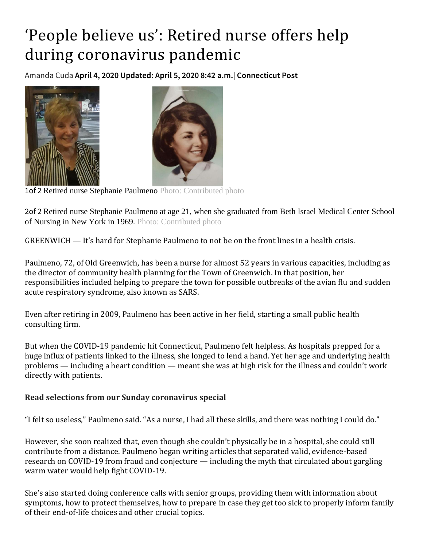## 'People believe us': Retired nurse offers help during coronavirus pandemic

[Amanda Cuda](https://www.ctinsider.com/author/amanda-cuda/) **April 4, 2020 Updated: April 5, 2020 8:42 a.m.| Connecticut Post** 





1of 2 Retired nurse Stephanie Paulmeno Photo: Contributed photo

2of 2 Retired nurse Stephanie Paulmeno at age 21, when she graduated from Beth Israel Medical Center School of Nursing in New York in 1969. Photo: Contributed photo

GREENWICH — It's hard for Stephanie Paulmeno to not be on the front lines in a health crisis.

Paulmeno, 72, of Old Greenwich, has been a nurse for almost 52 years in various capacities, including as the director of community health planning for the Town of Greenwich. In that position, her responsibilities included helping to prepare the town for possible outbreaks of the avian flu and sudden acute respiratory syndrome, also known as SARS.

Even after retiring in 2009, Paulmeno has been active in her field, starting a small public health consulting firm.

But when the COVID-19 pandemic hit Connecticut, Paulmeno felt helpless. As hospitals prepped for a huge influx of patients linked to the illness, she longed to lend a hand. Yet her age and underlying health problems — including a heart condition — meant she was at high risk for the illness and couldn't work directly with patients.

## **[Read selections from our Sunday coronavirus special](http://digitalpub.chron.com/publication/?m=62577&i=656654&p=0)**

"I felt so useless," Paulmeno said. "As a nurse, I had all these skills, and there was nothing I could do."

However, she soon realized that, even though she couldn't physically be in a hospital, she could still contribute from a distance. Paulmeno began writing articles that separated valid, evidence-based research on COVID-19 from fraud and conjecture — including the myth that circulated about gargling warm water would help fight COVID-19.

She's also started doing conference calls with senior groups, providing them with information about symptoms, how to protect themselves, how to prepare in case they get too sick to properly inform family of their end-of-life choices and other crucial topics.